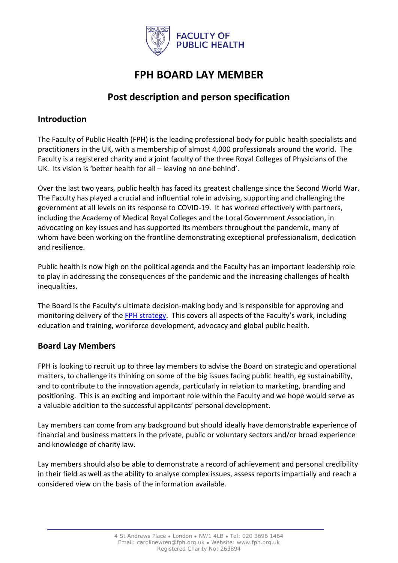

# **FPH BOARD LAY MEMBER**

# **Post description and person specification**

#### **Introduction**

The Faculty of Public Health (FPH) is the leading professional body for public health specialists and practitioners in the UK, with a membership of almost 4,000 professionals around the world. The Faculty is a registered charity and a joint faculty of the three Royal Colleges of Physicians of the UK. Its vision is 'better health for all – leaving no one behind'.

Over the last two years, public health has faced its greatest challenge since the Second World War. The Faculty has played a crucial and influential role in advising, supporting and challenging the government at all levels on its response to COVID-19. It has worked effectively with partners, including the Academy of Medical Royal Colleges and the Local Government Association, in advocating on key issues and has supported its members throughout the pandemic, many of whom have been working on the frontline demonstrating exceptional professionalism, dedication and resilience.

Public health is now high on the political agenda and the Faculty has an important leadership role to play in addressing the consequences of the pandemic and the increasing challenges of health inequalities.

The Board is the Faculty's ultimate decision-making body and is responsible for approving and monitoring delivery of the [FPH strategy.](https://www.fph.org.uk/media/3167/fph_strategy_2019_2025_02_21-2.pdf) This covers all aspects of the Faculty's work, including education and training, workforce development, advocacy and global public health.

# **Board Lay Members**

FPH is looking to recruit up to three lay members to advise the Board on strategic and operational matters, to challenge its thinking on some of the big issues facing public health, eg sustainability, and to contribute to the innovation agenda, particularly in relation to marketing, branding and positioning. This is an exciting and important role within the Faculty and we hope would serve as a valuable addition to the successful applicants' personal development.

Lay members can come from any background but should ideally have demonstrable experience of financial and business matters in the private, public or voluntary sectors and/or broad experience and knowledge of charity law.

Lay members should also be able to demonstrate a record of achievement and personal credibility in their field as well as the ability to analyse complex issues, assess reports impartially and reach a considered view on the basis of the information available.